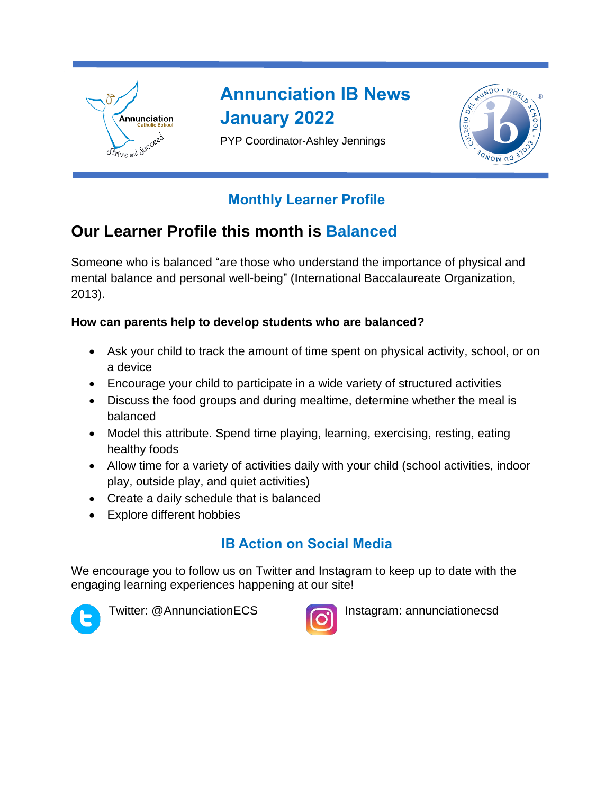

# **Annunciation IB News January 2022**

PYP Coordinator-Ashley Jennings



### **Monthly Learner Profile**

# **Our Learner Profile this month is Balanced**

Someone who is balanced "are those who understand the importance of physical and mental balance and personal well-being" (International Baccalaureate Organization, 2013).

#### **How can parents help to develop students who are balanced?**

- Ask your child to track the amount of time spent on physical activity, school, or on a device
- Encourage your child to participate in a wide variety of structured activities
- Discuss the food groups and during mealtime, determine whether the meal is balanced
- Model this attribute. Spend time playing, learning, exercising, resting, eating healthy foods
- Allow time for a variety of activities daily with your child (school activities, indoor play, outside play, and quiet activities)
- Create a daily schedule that is balanced
- Explore different hobbies

## **IB Action on Social Media**

We encourage you to follow us on Twitter and Instagram to keep up to date with the engaging learning experiences happening at our site!





Twitter: @AnnunciationECS **Instagram: annunciationecsd**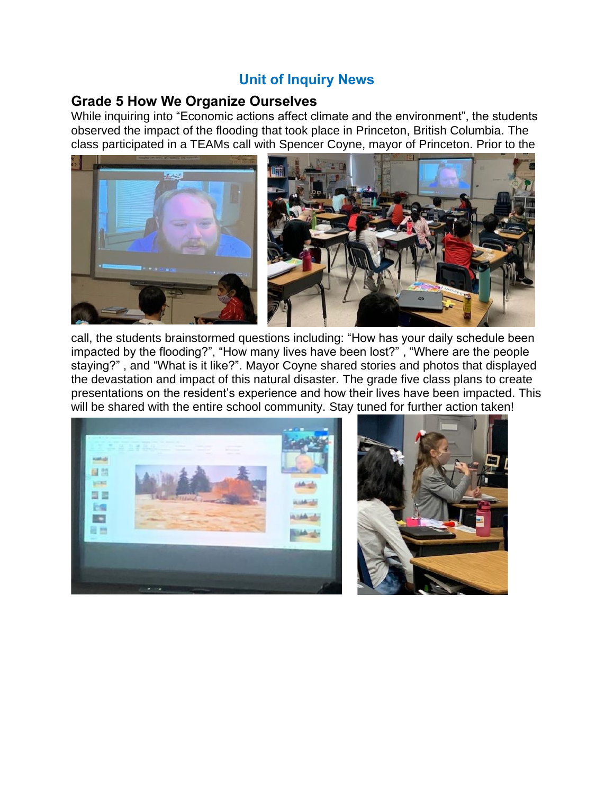### **Unit of Inquiry News**

#### **Grade 5 How We Organize Ourselves**

While inquiring into "Economic actions affect climate and the environment", the students observed the impact of the flooding that took place in Princeton, British Columbia. The class participated in a TEAMs call with Spencer Coyne, mayor of Princeton. Prior to the



call, the students brainstormed questions including: "How has your daily schedule been impacted by the flooding?", "How many lives have been lost?" , "Where are the people staying?" , and "What is it like?". Mayor Coyne shared stories and photos that displayed the devastation and impact of this natural disaster. The grade five class plans to create presentations on the resident's experience and how their lives have been impacted. This will be shared with the entire school community. Stay tuned for further action taken!